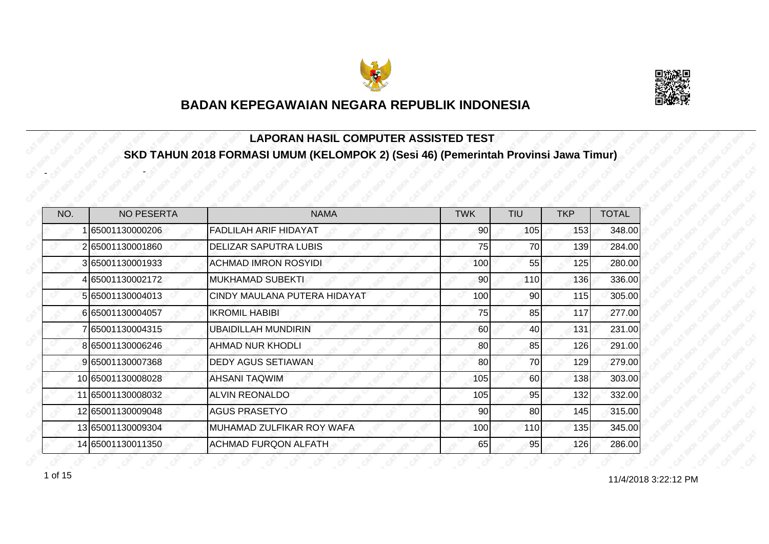



#### **LAPORAN HASIL COMPUTER ASSISTED TEST SKD TAHUN 2018 FORMASI UMUM (KELOMPOK 2) (Sesi 46) (Pemerintah Provinsi Jawa Timur)**

| NO. | <b>NO PESERTA</b> | <b>NAMA</b>                  | <b>TWK</b> | <b>TIU</b> | <b>TKP</b> | <b>TOTAL</b> |
|-----|-------------------|------------------------------|------------|------------|------------|--------------|
|     | 65001130000206    | FADLILAH ARIF HIDAYAT        | 90         | 105        | 153        | 348.00       |
|     | 265001130001860   | <b>DELIZAR SAPUTRA LUBIS</b> | 75         | 70         | 139        | 284.00       |
|     | 3 65001130001933  | <b>ACHMAD IMRON ROSYIDI</b>  | 100        | 55         | 125        | 280.00       |
|     | 4 65001130002172  | <b>MUKHAMAD SUBEKTI</b>      | 90         | 110        | 136        | 336.00       |
|     | 5 65001130004013  | CINDY MAULANA PUTERA HIDAYAT | 100        | 90         | 115        | 305.00       |
|     | 665001130004057   | <b>IKROMIL HABIBI</b>        | 75         | 85         | 117        | 277.00       |
|     | 765001130004315   | <b>UBAIDILLAH MUNDIRIN</b>   | 60         | 40         | 131        | 231.00       |
|     | 8 65001130006246  | <b>AHMAD NUR KHODLI</b>      | 80         | 85         | 126        | 291.00       |
|     | 9 65001130007368  | <b>DEDY AGUS SETIAWAN</b>    | 80         | 70         | 129        | 279.00       |
|     | 10 65001130008028 | <b>AHSANI TAQWIM</b>         | 105        | 60         | 138        | 303.00       |
|     | 11 65001130008032 | <b>ALVIN REONALDO</b>        | 105        | 95         | 132        | 332.00       |
|     | 12 65001130009048 | <b>AGUS PRASETYO</b>         | 90         | 80         | 145        | 315.00       |
|     | 13 65001130009304 | MUHAMAD ZULFIKAR ROY WAFA    | 100        | 110        | 135        | 345.00       |
|     | 14 65001130011350 | <b>ACHMAD FURQON ALFATH</b>  | 65         | 95         | 126        | 286.00       |

1 of 15

-

-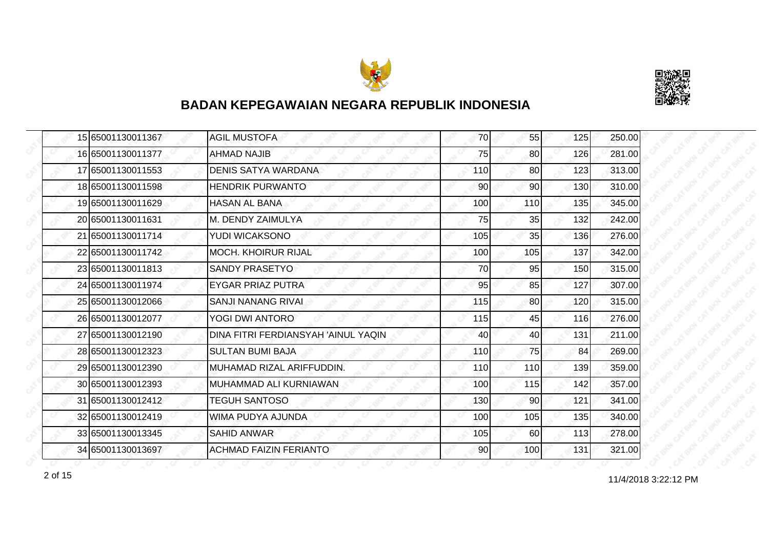



|  | 15 65001130011367 | <b>AGIL MUSTOFA</b>                 | 70  | 55              | 125 | 250.00 |
|--|-------------------|-------------------------------------|-----|-----------------|-----|--------|
|  | 16 65001130011377 | <b>AHMAD NAJIB</b>                  | 75  | 80              | 126 | 281.00 |
|  | 17 65001130011553 | <b>DENIS SATYA WARDANA</b>          | 110 | 80              | 123 | 313.00 |
|  | 18 65001130011598 | <b>HENDRIK PURWANTO</b>             | 90  | 90 <sub>l</sub> | 130 | 310.00 |
|  | 19 65001130011629 | HASAN AL BANA                       | 100 | 110             | 135 | 345.00 |
|  | 20 65001130011631 | M. DENDY ZAIMULYA                   | 75  | 35              | 132 | 242.00 |
|  | 21 65001130011714 | YUDI WICAKSONO                      | 105 | 35              | 136 | 276.00 |
|  | 22 65001130011742 | <b>MOCH. KHOIRUR RIJAL</b>          | 100 | 105             | 137 | 342.00 |
|  | 23 65001130011813 | <b>SANDY PRASETYO</b>               | 70  | 95              | 150 | 315.00 |
|  | 24 65001130011974 | <b>EYGAR PRIAZ PUTRA</b>            | 95  | 85              | 127 | 307.00 |
|  | 25 65001130012066 | SANJI NANANG RIVAL                  | 115 | 80              | 120 | 315.00 |
|  | 26 65001130012077 | YOGI DWI ANTORO                     | 115 | 45              | 116 | 276.00 |
|  | 27 65001130012190 | DINA FITRI FERDIANSYAH 'AINUL YAQIN | 40  | 40              | 131 | 211.00 |
|  | 28 65001130012323 | <b>SULTAN BUMI BAJA</b>             | 110 | 75              | 84  | 269.00 |
|  | 29 65001130012390 | MUHAMAD RIZAL ARIFFUDDIN.           | 110 | 110             | 139 | 359.00 |
|  | 30 65001130012393 | MUHAMMAD ALI KURNIAWAN              | 100 | 115             | 142 | 357.00 |
|  | 31 65001130012412 | <b>TEGUH SANTOSO</b>                | 130 | 90              | 121 | 341.00 |
|  | 32 65001130012419 | WIMA PUDYA AJUNDA                   | 100 | 105             | 135 | 340.00 |
|  | 33 65001130013345 | <b>SAHID ANWAR</b>                  | 105 | 60              | 113 | 278.00 |
|  | 34 65001130013697 | <b>ACHMAD FAIZIN FERIANTO</b>       | 90  | 100             | 131 | 321.00 |

2 of 15 **11/4/2018 3:22:12 PM**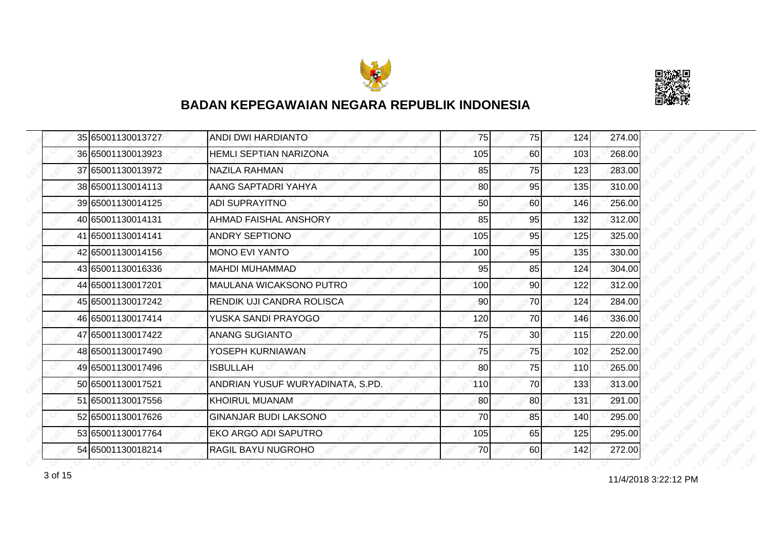



|  | 35 65001130013727 | ANDI DWI HARDIANTO               | 75  | 75 | 124 | 274.00 |
|--|-------------------|----------------------------------|-----|----|-----|--------|
|  | 36 65001130013923 | <b>HEMLI SEPTIAN NARIZONA</b>    | 105 | 60 | 103 | 268.00 |
|  | 37 65001130013972 | <b>NAZILA RAHMAN</b>             | 85  | 75 | 123 | 283.00 |
|  | 38 65001130014113 | AANG SAPTADRI YAHYA              | 80  | 95 | 135 | 310.00 |
|  | 39 65001130014125 | <b>ADI SUPRAYITNO</b>            | 50  | 60 | 146 | 256.00 |
|  | 40 65001130014131 | AHMAD FAISHAL ANSHORY            | 85  | 95 | 132 | 312.00 |
|  | 41 65001130014141 | <b>ANDRY SEPTIONO</b>            | 105 | 95 | 125 | 325.00 |
|  | 42 65001130014156 | <b>MONO EVI YANTO</b>            | 100 | 95 | 135 | 330.00 |
|  | 43 65001130016336 | <b>MAHDI MUHAMMAD</b>            | 95  | 85 | 124 | 304.00 |
|  | 44 65001130017201 | MAULANA WICAKSONO PUTRO          | 100 | 90 | 122 | 312.00 |
|  | 45 65001130017242 | RENDIK UJI CANDRA ROLISCA        | 90  | 70 | 124 | 284.00 |
|  | 46 65001130017414 | YUSKA SANDI PRAYOGO              | 120 | 70 | 146 | 336.00 |
|  | 47 65001130017422 | <b>ANANG SUGIANTO</b>            | 75  | 30 | 115 | 220.00 |
|  | 48 65001130017490 | YOSEPH KURNIAWAN                 | 75  | 75 | 102 | 252.00 |
|  | 49 65001130017496 | <b>ISBULLAH</b>                  | 80  | 75 | 110 | 265.00 |
|  | 50 65001130017521 | ANDRIAN YUSUF WURYADINATA, S.PD. | 110 | 70 | 133 | 313.00 |
|  | 51 65001130017556 | <b>KHOIRUL MUANAM</b>            | 80  | 80 | 131 | 291.00 |
|  | 52 65001130017626 | GINANJAR BUDI LAKSONO            | 70  | 85 | 140 | 295.00 |
|  | 53 65001130017764 | EKO ARGO ADI SAPUTRO             | 105 | 65 | 125 | 295.00 |
|  | 54 65001130018214 | RAGIL BAYU NUGROHO               | 70  | 60 | 142 | 272.00 |

11/4/2018 3:22:12 PM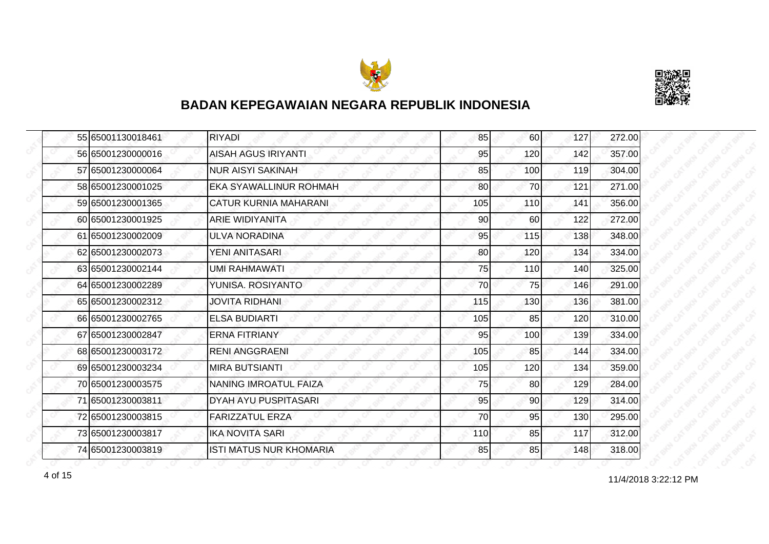



|  | 55 65001130018461 | <b>RIYADI</b>                  | 85  | 60  | 127 | 272.00 |
|--|-------------------|--------------------------------|-----|-----|-----|--------|
|  | 56 65001230000016 | <b>AISAH AGUS IRIYANTI</b>     | 95  | 120 | 142 | 357.00 |
|  | 57 65001230000064 | <b>NUR AISYI SAKINAH</b>       | 85  | 100 | 119 | 304.00 |
|  | 58 65001230001025 | EKA SYAWALLINUR ROHMAH         | 80  | 70  | 121 | 271.00 |
|  | 59 65001230001365 | <b>CATUR KURNIA MAHARANI</b>   | 105 | 110 | 141 | 356.00 |
|  | 60 65001230001925 | ARIE WIDIYANITA                | 90  | 60  | 122 | 272.00 |
|  | 61 65001230002009 | <b>ULVA NORADINA</b>           | 95  | 115 | 138 | 348.00 |
|  | 62 65001230002073 | YENI ANITASARI                 | 80  | 120 | 134 | 334.00 |
|  | 63 65001230002144 | <b>UMI RAHMAWATI</b>           | 75  | 110 | 140 | 325.00 |
|  | 64 65001230002289 | YUNISA. ROSIYANTO              | 70  | 75  | 146 | 291.00 |
|  | 65 65001230002312 | <b>JOVITA RIDHANI</b>          | 115 | 130 | 136 | 381.00 |
|  | 66 65001230002765 | <b>ELSA BUDIARTI</b>           | 105 | 85  | 120 | 310.00 |
|  | 67 65001230002847 | <b>ERNA FITRIANY</b>           | 95  | 100 | 139 | 334.00 |
|  | 68 65001230003172 | <b>RENI ANGGRAENI</b>          | 105 | 85  | 144 | 334.00 |
|  | 69 65001230003234 | <b>MIRA BUTSIANTI</b>          | 105 | 120 | 134 | 359.00 |
|  | 70 65001230003575 | NANING IMROATUL FAIZA          | 75  | 80  | 129 | 284.00 |
|  | 71 65001230003811 | DYAH AYU PUSPITASARI           | 95  | 90  | 129 | 314.00 |
|  | 72 65001230003815 | <b>FARIZZATUL ERZA</b>         | 70  | 95  | 130 | 295.00 |
|  | 73 65001230003817 | <b>IKA NOVITA SARI</b>         | 110 | 85  | 117 | 312.00 |
|  | 74 65001230003819 | <b>ISTI MATUS NUR KHOMARIA</b> | 85  | 85  | 148 | 318.00 |

4 of 15 11/4/2018 3:22:12 PM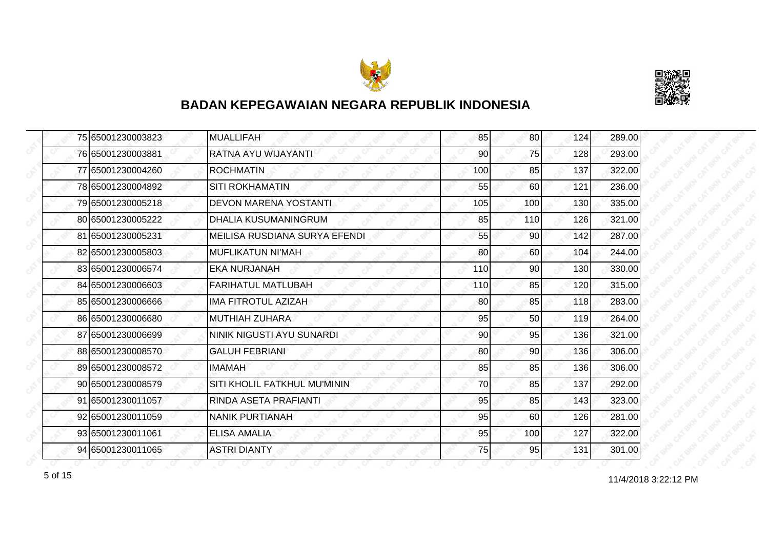



|  | 75 65001230003823 | <b>MUALLIFAH</b>              | 85  | 80 <sup>1</sup> | 124 | 289.00 |
|--|-------------------|-------------------------------|-----|-----------------|-----|--------|
|  | 76 65001230003881 | RATNA AYU WIJAYANTI           | 90  | 75              | 128 | 293.00 |
|  | 77 65001230004260 | <b>ROCHMATIN</b>              | 100 | 85              | 137 | 322.00 |
|  | 78 65001230004892 | <b>SITI ROKHAMATIN</b>        | 55  | <b>60</b>       | 121 | 236.00 |
|  | 79 65001230005218 | <b>DEVON MARENA YOSTANTI</b>  | 105 | 100             | 130 | 335.00 |
|  | 80 65001230005222 | DHALIA KUSUMANINGRUM          | 85  | 110             | 126 | 321.00 |
|  | 81 65001230005231 | MEILISA RUSDIANA SURYA EFENDI | 55  | 90              | 142 | 287.00 |
|  | 82 65001230005803 | <b>MUFLIKATUN NI'MAH</b>      | 80  | 60              | 104 | 244.00 |
|  | 83 65001230006574 | <b>EKA NURJANAH</b>           | 110 | 90              | 130 | 330.00 |
|  | 84 65001230006603 | <b>FARIHATUL MATLUBAH</b>     | 110 | 85              | 120 | 315.00 |
|  | 85 65001230006666 | IMA FITROTUL AZIZAH           | 80  | 85              | 118 | 283.00 |
|  | 86 65001230006680 | <b>MUTHIAH ZUHARA</b>         | 95  | 50              | 119 | 264.00 |
|  | 87 65001230006699 | NINIK NIGUSTI AYU SUNARDI     | 90  | 95              | 136 | 321.00 |
|  | 88 65001230008570 | <b>GALUH FEBRIANI</b>         | 80  | 90              | 136 | 306.00 |
|  | 89 65001230008572 | <b>IMAMAH</b>                 | 85  | 85              | 136 | 306.00 |
|  | 90 65001230008579 | SITI KHOLIL FATKHUL MU'MININ  | 70  | 85              | 137 | 292.00 |
|  | 91 65001230011057 | RINDA ASETA PRAFIANTI         | 95  | 85              | 143 | 323.00 |
|  | 92 65001230011059 | <b>NANIK PURTIANAH</b>        | 95  | 60              | 126 | 281.00 |
|  | 93 65001230011061 | <b>ELISA AMALIA</b>           | 95  | 100             | 127 | 322.00 |
|  | 94 65001230011065 | <b>ASTRI DIANTY</b>           | 75  | 95              | 131 | 301.00 |

f of 15 and 11/4/2018 3:22:12 PM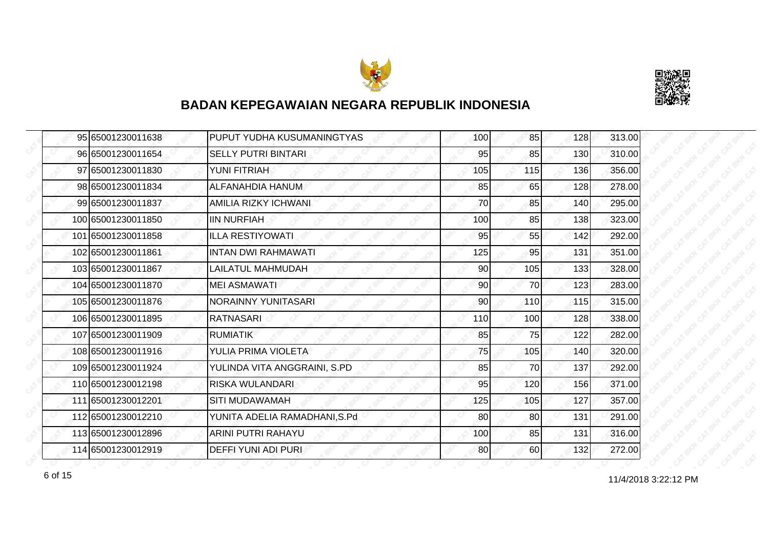



| 95 65001230011638  | PUPUT YUDHA KUSUMANINGTYAS    | 100 | 85  | 128 | 313.00 |
|--------------------|-------------------------------|-----|-----|-----|--------|
| 96 65001230011654  | <b>SELLY PUTRI BINTARI</b>    | 95  | 85  | 130 | 310.00 |
| 97 65001230011830  | <b>YUNI FITRIAH</b>           | 105 | 115 | 136 | 356.00 |
| 98 65001230011834  | ALFANAHDIA HANUM              | 85  | 65  | 128 | 278.00 |
| 99 65001230011837  | AMILIA RIZKY ICHWANI          | 70  | 85  | 140 | 295.00 |
| 100 65001230011850 | <b>IIN NURFIAH</b>            | 100 | 85  | 138 | 323.00 |
| 101 65001230011858 | <b>ILLA RESTIYOWATI</b>       | 95  | 55  | 142 | 292.00 |
| 102 65001230011861 | <b>INTAN DWI RAHMAWATI</b>    | 125 | 95  | 131 | 351.00 |
| 103 65001230011867 | <b>LAILATUL MAHMUDAH</b>      | 90  | 105 | 133 | 328.00 |
| 104 65001230011870 | <b>MEI ASMAWATI</b>           | 90  | 70  | 123 | 283.00 |
| 105 65001230011876 | NORAINNY YUNITASARI           | 90  | 110 | 115 | 315.00 |
| 106 65001230011895 | <b>RATNASARI</b>              | 110 | 100 | 128 | 338.00 |
| 107 65001230011909 | <b>RUMIATIK</b>               | 85  | 75  | 122 | 282.00 |
| 108 65001230011916 | YULIA PRIMA VIOLETA           | 75  | 105 | 140 | 320.00 |
| 109 65001230011924 | YULINDA VITA ANGGRAINI, S.PD  | 85  | 70  | 137 | 292.00 |
| 110 65001230012198 | <b>RISKA WULANDARI</b>        | 95  | 120 | 156 | 371.00 |
| 111 65001230012201 | <b>SITI MUDAWAMAH</b>         | 125 | 105 | 127 | 357.00 |
| 112 65001230012210 | YUNITA ADELIA RAMADHANI, S.Pd | 80  | 80  | 131 | 291.00 |
| 113 65001230012896 | ARINI PUTRI RAHAYU            | 100 | 85  | 131 | 316.00 |
| 114 65001230012919 | DEFFI YUNI ADI PURI           | 80  | 60  | 132 | 272.00 |

11/4/2018 3:22:12 PM 6 of 15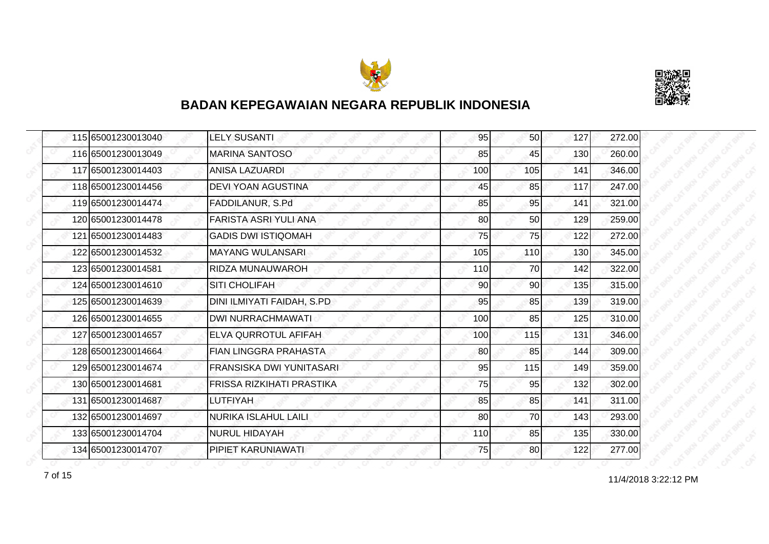



| 115 65001230013040 | <b>LELY SUSANTI</b>        | 95  | 50 <sub>l</sub> | 127 | 272.00 |
|--------------------|----------------------------|-----|-----------------|-----|--------|
| 116 65001230013049 | <b>MARINA SANTOSO</b>      | 85  | 45              | 130 | 260.00 |
| 117 65001230014403 | ANISA LAZUARDI             | 100 | 105             | 141 | 346.00 |
| 118 65001230014456 | <b>DEVI YOAN AGUSTINA</b>  | 45  | 85              | 117 | 247.00 |
| 119 65001230014474 | FADDILANUR, S.Pd           | 85  | 95              | 141 | 321.00 |
| 120 65001230014478 | FARISTA ASRI YULI ANA      | 80  | 50              | 129 | 259.00 |
| 121 65001230014483 | <b>GADIS DWI ISTIQOMAH</b> | 75  | 75              | 122 | 272.00 |
| 122 65001230014532 | <b>MAYANG WULANSARI</b>    | 105 | 110             | 130 | 345.00 |
| 123 65001230014581 | RIDZA MUNAUWAROH           | 110 | 70              | 142 | 322.00 |
| 124 65001230014610 | <b>SITI CHOLIFAH</b>       | 90  | 90 <sub>l</sub> | 135 | 315.00 |
| 125 65001230014639 | DINI ILMIYATI FAIDAH, S.PD | 95  | 85              | 139 | 319.00 |
| 126 65001230014655 | <b>DWI NURRACHMAWATI</b>   | 100 | 85              | 125 | 310.00 |
| 127 65001230014657 | ELVA QURROTUL AFIFAH       | 100 | 115             | 131 | 346.00 |
| 128 65001230014664 | FIAN LINGGRA PRAHASTA      | 80  | 85              | 144 | 309.00 |
| 129 65001230014674 | FRANSISKA DWI YUNITASARI   | 95  | 115             | 149 | 359.00 |
| 130 65001230014681 | FRISSA RIZKIHATI PRASTIKA  | 75  | 95              | 132 | 302.00 |
| 131 65001230014687 | LUTFIYAH                   | 85  | 85              | 141 | 311.00 |
| 132 65001230014697 | NURIKA ISLAHUL LAILI       | 80  | 70              | 143 | 293.00 |
| 133 65001230014704 | <b>NURUL HIDAYAH</b>       | 110 | 85              | 135 | 330.00 |
| 134 65001230014707 | PIPIET KARUNIAWATI         | 75  | <b>80</b>       | 122 | 277.00 |

7 of 15<br>11/4/2018 3:22:12 PM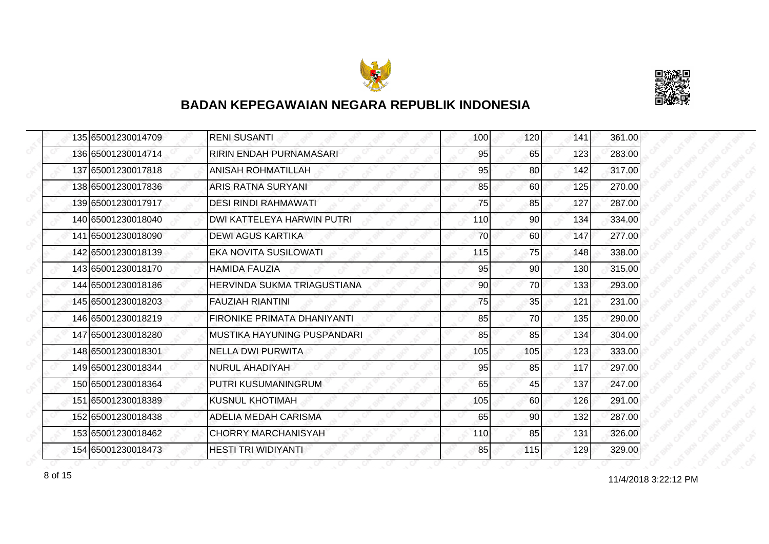



| 135 65001230014709 | <b>RENI SUSANTI</b>                | 100 | 120 | 141 | 361.00 |
|--------------------|------------------------------------|-----|-----|-----|--------|
| 136 65001230014714 | RIRIN ENDAH PURNAMASARI            | 95  | 65  | 123 | 283.00 |
| 137 65001230017818 | <b>ANISAH ROHMATILLAH</b>          | 95  | 80  | 142 | 317.00 |
| 138 65001230017836 | <b>ARIS RATNA SURYANI</b>          | 85  | 60  | 125 | 270.00 |
| 139 65001230017917 | <b>DESI RINDI RAHMAWATI</b>        | 75  | 85  | 127 | 287.00 |
| 140 65001230018040 | DWI KATTELEYA HARWIN PUTRI         | 110 | 90  | 134 | 334.00 |
| 141 65001230018090 | <b>DEWI AGUS KARTIKA</b>           | 70  | 60  | 147 | 277.00 |
| 142 65001230018139 | <b>EKA NOVITA SUSILOWATI</b>       | 115 | 75  | 148 | 338.00 |
| 143 65001230018170 | <b>HAMIDA FAUZIA</b>               | 95  | 90  | 130 | 315.00 |
| 144 65001230018186 | <b>HERVINDA SUKMA TRIAGUSTIANA</b> | 90  | 70  | 133 | 293.00 |
| 145 65001230018203 | <b>FAUZIAH RIANTINI</b>            | 75  | 35  | 121 | 231.00 |
| 146 65001230018219 | <b>FIRONIKE PRIMATA DHANIYANTI</b> | 85  | 70  | 135 | 290.00 |
| 147 65001230018280 | IMUSTIKA HAYUNING PUSPANDARI       | 85  | 85  | 134 | 304.00 |
| 148 65001230018301 | <b>NELLA DWI PURWITA</b>           | 105 | 105 | 123 | 333.00 |
| 149 65001230018344 | <b>NURUL AHADIYAH</b>              | 95  | 85  | 117 | 297.00 |
| 150 65001230018364 | PUTRI KUSUMANINGRUM                | 65  | 45  | 137 | 247.00 |
| 151 65001230018389 | <b>KUSNUL KHOTIMAH</b>             | 105 | 60  | 126 | 291.00 |
| 152165001230018438 | ADELIA MEDAH CARISMA               | 65  | 90  | 132 | 287.00 |
| 153 65001230018462 | <b>CHORRY MARCHANISYAH</b>         | 110 | 85  | 131 | 326.00 |
| 154 65001230018473 | <b>HESTI TRI WIDIYANTI</b>         | 85  | 115 | 129 | 329.00 |

8 of 15 **11/4/2018 3:22:12 PM**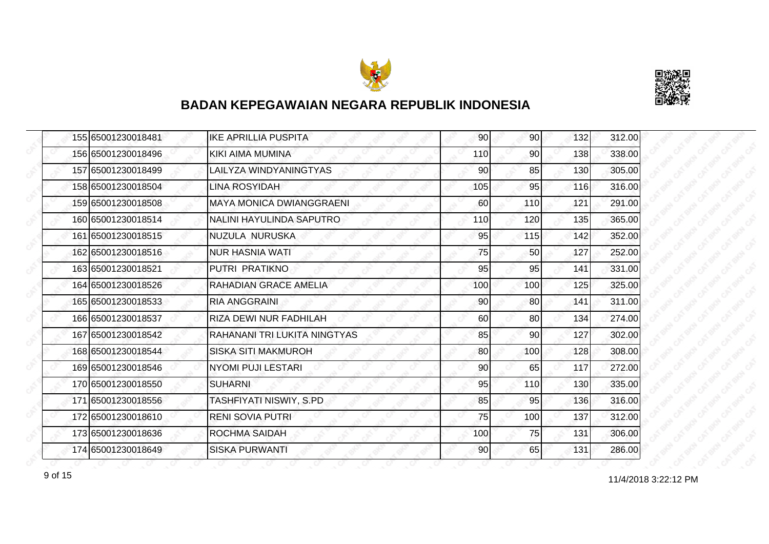



| 155 65001230018481 | <b>IKE APRILLIA PUSPITA</b>     | 90  | 90              | 132 | 312.00 |
|--------------------|---------------------------------|-----|-----------------|-----|--------|
| 156 65001230018496 | KIKI AIMA MUMINA                | 110 | 90              | 138 | 338.00 |
| 157 65001230018499 | LAILYZA WINDYANINGTYAS          | 90  | 85              | 130 | 305.00 |
| 158 65001230018504 | <b>LINA ROSYIDAH</b>            | 105 | 95              | 116 | 316.00 |
| 159 65001230018508 | <b>MAYA MONICA DWIANGGRAENI</b> | 60  | 110             | 121 | 291.00 |
| 160 65001230018514 | NALINI HAYULINDA SAPUTRO        | 110 | 120             | 135 | 365.00 |
| 161 65001230018515 | NUZULA NURUSKA                  | 95  | 115             | 142 | 352.00 |
| 162 65001230018516 | NUR HASNIA WATI                 | 75  | 50              | 127 | 252.00 |
| 163 65001230018521 | PUTRI PRATIKNO                  | 95  | 95              | 141 | 331.00 |
| 164 65001230018526 | RAHADIAN GRACE AMELIA           | 100 | 100             | 125 | 325.00 |
| 165 65001230018533 | <b>RIA ANGGRAINI</b>            | 90  | 80              | 141 | 311.00 |
| 166 65001230018537 | RIZA DEWI NUR FADHILAH          | 60  | 80              | 134 | 274.00 |
| 167 65001230018542 | RAHANANI TRI LUKITA NINGTYAS    | 85  | 90 <sup>°</sup> | 127 | 302.00 |
| 168 65001230018544 | <b>SISKA SITI MAKMUROH</b>      | 80  | 100             | 128 | 308.00 |
| 169 65001230018546 | NYOMI PUJI LESTARI              | 90  | 65              | 117 | 272.00 |
| 170 65001230018550 | <b>SUHARNI</b>                  | 95  | 110             | 130 | 335.00 |
| 171 65001230018556 | TASHFIYATI NISWIY, S.PD         | 85  | 95              | 136 | 316.00 |
| 172 65001230018610 | <b>RENI SOVIA PUTRI</b>         | 75  | 100             | 137 | 312.00 |
| 173 65001230018636 | <b>ROCHMA SAIDAH</b>            | 100 | 75              | 131 | 306.00 |
| 174 65001230018649 | <b>SISKA PURWANTI</b>           | 90  | 65              | 131 | 286.00 |

11/4/2018 3:22:12 PM 9 of 15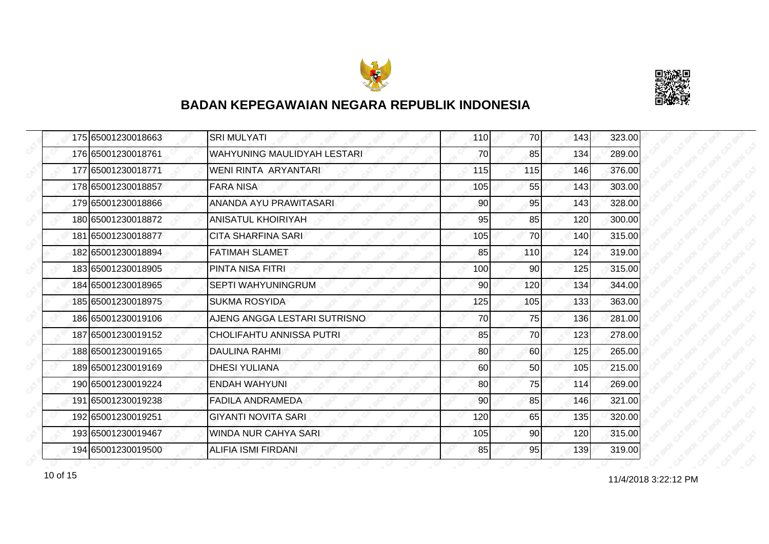



| 175 65001230018663 | <b>SRI MULYATI</b>              | 110 | 70  | 143 | 323.00 |
|--------------------|---------------------------------|-----|-----|-----|--------|
| 176 65001230018761 | WAHYUNING MAULIDYAH LESTARI     | 70  | 85  | 134 | 289.00 |
| 177 65001230018771 | WENI RINTA ARYANTARI            | 115 | 115 | 146 | 376.00 |
| 178 65001230018857 | <b>FARA NISA</b>                | 105 | 55  | 143 | 303.00 |
| 179 65001230018866 | ANANDA AYU PRAWITASARI          | 90  | 95  | 143 | 328.00 |
| 180 65001230018872 | ANISATUL KHOIRIYAH              | 95  | 85  | 120 | 300.00 |
| 181 65001230018877 | <b>CITA SHARFINA SARI</b>       | 105 | 70I | 140 | 315.00 |
| 182 65001230018894 | <b>FATIMAH SLAMET</b>           | 85  | 110 | 124 | 319.00 |
| 183 65001230018905 | PINTA NISA FITRI                | 100 | 90  | 125 | 315.00 |
| 184 65001230018965 | SEPTI WAHYUNINGRUM              | 90  | 120 | 134 | 344.00 |
| 185 65001230018975 | <b>SUKMA ROSYIDA</b>            | 125 | 105 | 133 | 363.00 |
| 186 65001230019106 | AJENG ANGGA LESTARI SUTRISNO    | 70  | 75  | 136 | 281.00 |
| 187 65001230019152 | <b>CHOLIFAHTU ANNISSA PUTRI</b> | 85  | 70  | 123 | 278.00 |
| 188 65001230019165 | DAULINA RAHMI                   | 80  | 60  | 125 | 265.00 |
| 189 65001230019169 | <b>DHESI YULIANA</b>            | 60  | 50  | 105 | 215.00 |
| 190 65001230019224 | <b>ENDAH WAHYUNI</b>            | 80  | 75  | 114 | 269.00 |
| 191 65001230019238 | FADILA ANDRAMEDA                | 90  | 85  | 146 | 321.00 |
| 192 65001230019251 | <b>GIYANTI NOVITA SARI</b>      | 120 | 65  | 135 | 320.00 |
| 193 65001230019467 | WINDA NUR CAHYA SARI            | 105 | 90  | 120 | 315.00 |
| 194 65001230019500 | <b>ALIFIA ISMI FIRDANI</b>      | 85  | 95  | 139 | 319.00 |

11/4/2018 3:22:12 PM 10 of 15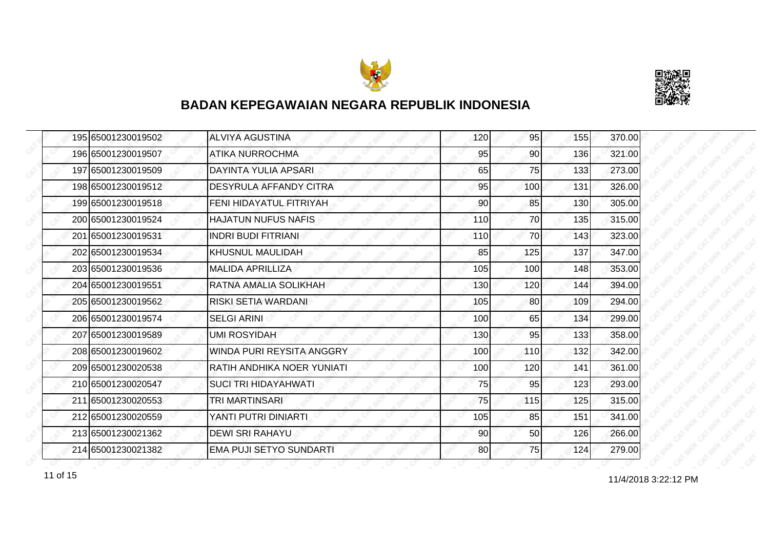



|  | 195 65001230019502 | <b>ALVIYA AGUSTINA</b>         | 120 | 95  | 155 | 370.00 |
|--|--------------------|--------------------------------|-----|-----|-----|--------|
|  | 196 65001230019507 | ATIKA NURROCHMA                | 95  | 90  | 136 | 321.00 |
|  | 197 65001230019509 | DAYINTA YULIA APSARI           | 65  | 75  | 133 | 273.00 |
|  | 198 65001230019512 | <b>DESYRULA AFFANDY CITRA</b>  | 95  | 100 | 131 | 326.00 |
|  | 199 65001230019518 | FENI HIDAYATUL FITRIYAH        | 90  | 85  | 130 | 305.00 |
|  | 200 65001230019524 | <b>HAJATUN NUFUS NAFIS</b>     | 110 | 70  | 135 | 315.00 |
|  | 201 65001230019531 | <b>INDRI BUDI FITRIANI</b>     | 110 | 70  | 143 | 323.00 |
|  | 202 65001230019534 | KHUSNUL MAULIDAH               | 85  | 125 | 137 | 347.00 |
|  | 203 65001230019536 | <b>MALIDA APRILLIZA</b>        | 105 | 100 | 148 | 353.00 |
|  | 204 65001230019551 | RATNA AMALIA SOLIKHAH          | 130 | 120 | 144 | 394.00 |
|  | 205 65001230019562 | RISKI SETIA WARDANI            | 105 | 80  | 109 | 294.00 |
|  | 206 65001230019574 | <b>SELGI ARINI</b>             | 100 | 65  | 134 | 299.00 |
|  | 207 65001230019589 | <b>UMI ROSYIDAH</b>            | 130 | 95  | 133 | 358.00 |
|  | 208 65001230019602 | WINDA PURI REYSITA ANGGRY      | 100 | 110 | 132 | 342.00 |
|  | 209 65001230020538 | RATIH ANDHIKA NOER YUNIATI     | 100 | 120 | 141 | 361.00 |
|  | 210 65001230020547 | <b>SUCI TRI HIDAYAHWATI</b>    | 75  | 95  | 123 | 293.00 |
|  | 211 65001230020553 | TRI MARTINSARI                 | 75  | 115 | 125 | 315.00 |
|  | 212 65001230020559 | YANTI PUTRI DINIARTI           | 105 | 85  | 151 | 341.00 |
|  | 213 65001230021362 | <b>DEWI SRI RAHAYU</b>         | 90  | 50  | 126 | 266.00 |
|  | 214 65001230021382 | <b>EMA PUJI SETYO SUNDARTI</b> | 80  | 75  | 124 | 279.00 |

11 of 15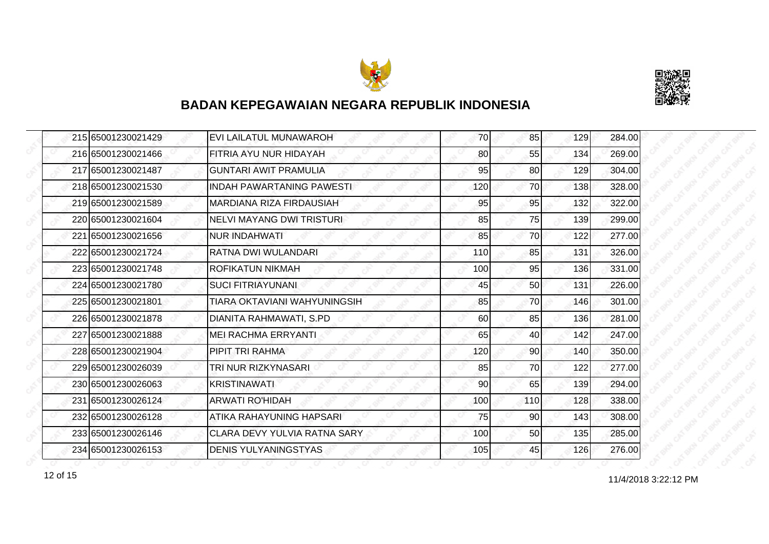



| 215 65001230021429 | EVI LAILATUL MUNAWAROH           | 70  | 85              | 129 | 284.00 |
|--------------------|----------------------------------|-----|-----------------|-----|--------|
| 216 65001230021466 | FITRIA AYU NUR HIDAYAH           | 80  | 55              | 134 | 269.00 |
| 217 65001230021487 | <b>GUNTARI AWIT PRAMULIA</b>     | 95  | 80              | 129 | 304.00 |
| 218 65001230021530 | <b>INDAH PAWARTANING PAWESTI</b> | 120 | 70              | 138 | 328.00 |
| 219 65001230021589 | MARDIANA RIZA FIRDAUSIAH         | 95  | 95              | 132 | 322.00 |
| 220 65001230021604 | <b>NELVI MAYANG DWI TRISTURI</b> | 85  | 75              | 139 | 299.00 |
| 221 65001230021656 | <b>NUR INDAHWATI</b>             | 85  | 70              | 122 | 277.00 |
| 222 65001230021724 | RATNA DWI WULANDARI              | 110 | 85              | 131 | 326.00 |
| 223 65001230021748 | <b>ROFIKATUN NIKMAH</b>          | 100 | 95              | 136 | 331.00 |
| 224 65001230021780 | <b>SUCI FITRIAYUNANI</b>         | 45  | 50              | 131 | 226.00 |
| 225 65001230021801 | TIARA OKTAVIANI WAHYUNINGSIH     | 85  | 70              | 146 | 301.00 |
| 226 65001230021878 | DIANITA RAHMAWATI, S.PD          | 60  | 85              | 136 | 281.00 |
| 227 65001230021888 | <b>MEI RACHMA ERRYANTI</b>       | 65  | 40              | 142 | 247.00 |
| 228 65001230021904 | PIPIT TRI RAHMA                  | 120 | 90 <sub>0</sub> | 140 | 350.00 |
| 229 65001230026039 | TRI NUR RIZKYNASARI              | 85  | 70              | 122 | 277.00 |
| 230 65001230026063 | <b>KRISTINAWATI</b>              | 90  | 65              | 139 | 294.00 |
| 231 65001230026124 | <b>ARWATI RO'HIDAH</b>           | 100 | 110             | 128 | 338.00 |
| 232 65001230026128 | ATIKA RAHAYUNING HAPSARI         | 75  | 90              | 143 | 308.00 |
| 233 65001230026146 | CLARA DEVY YULVIA RATNA SARY     | 100 | 50              | 135 | 285.00 |
| 234 65001230026153 | <b>DENIS YULYANINGSTYAS</b>      | 105 | 45              | 126 | 276.00 |

12 of 15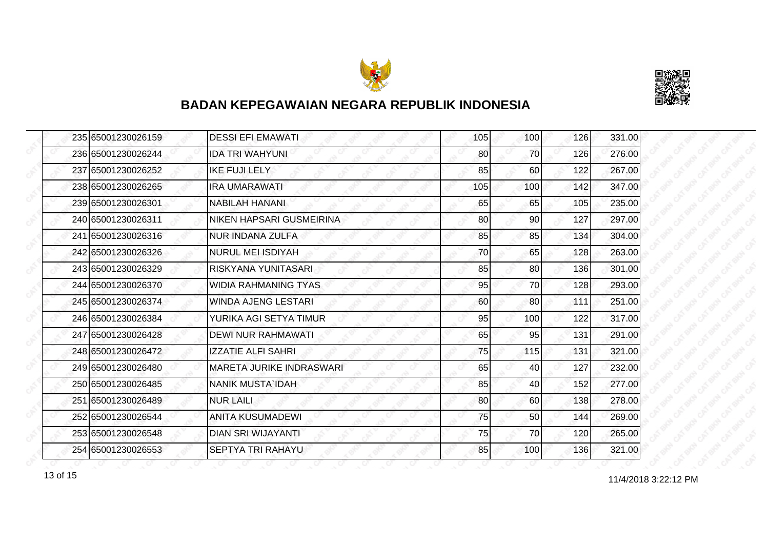



|  | 235 65001230026159 | <b>DESSI EFI EMAWATI</b>        | 105 | 100 <sup>1</sup> | 126 | 331.00 |
|--|--------------------|---------------------------------|-----|------------------|-----|--------|
|  | 236 65001230026244 | IDA TRI WAHYUNI                 | 80  | 70               | 126 | 276.00 |
|  | 237 65001230026252 | <b>IKE FUJI LELY</b>            | 85  | 60               | 122 | 267.00 |
|  | 238 65001230026265 | <b>IRA UMARAWATI</b>            | 105 | 100              | 142 | 347.00 |
|  | 239 65001230026301 | <b>NABILAH HANANI</b>           | 65  | 65               | 105 | 235.00 |
|  | 240 65001230026311 | NIKEN HAPSARI GUSMEIRINA        | 80  | 90               | 127 | 297.00 |
|  | 241 65001230026316 | <b>NUR INDANA ZULFA</b>         | 85  | 85               | 134 | 304.00 |
|  | 242 65001230026326 | NURUL MEI ISDIYAH               | 70  | 65               | 128 | 263.00 |
|  | 243 65001230026329 | RISKYANA YUNITASARI             | 85  | 80               | 136 | 301.00 |
|  | 244 65001230026370 | <b>WIDIA RAHMANING TYAS</b>     | 95  | 70               | 128 | 293.00 |
|  | 245 65001230026374 | WINDA AJENG LESTARI             | 60  | 80               | 111 | 251.00 |
|  | 246 65001230026384 | YURIKA AGI SETYA TIMUR          | 95  | 100              | 122 | 317.00 |
|  | 247 65001230026428 | <b>DEWI NUR RAHMAWATI</b>       | 65  | 95               | 131 | 291.00 |
|  | 248 65001230026472 | <b>IZZATIE ALFI SAHRI</b>       | 75  | 115              | 131 | 321.00 |
|  | 249 65001230026480 | <b>MARETA JURIKE INDRASWARI</b> | 65  | 40               | 127 | 232.00 |
|  | 250 65001230026485 | <b>NANIK MUSTA IDAH</b>         | 85  | 40               | 152 | 277.00 |
|  | 251 65001230026489 | <b>NUR LAILI</b>                | 80  | 60               | 138 | 278.00 |
|  | 252 65001230026544 | <b>ANITA KUSUMADEWI</b>         | 75  | 50               | 144 | 269.00 |
|  | 253 65001230026548 | <b>DIAN SRI WIJAYANTI</b>       | 75  | 70               | 120 | 265.00 |
|  | 254 65001230026553 | <b>SEPTYA TRI RAHAYU</b>        | 85  | 100              | 136 | 321.00 |

13 of 15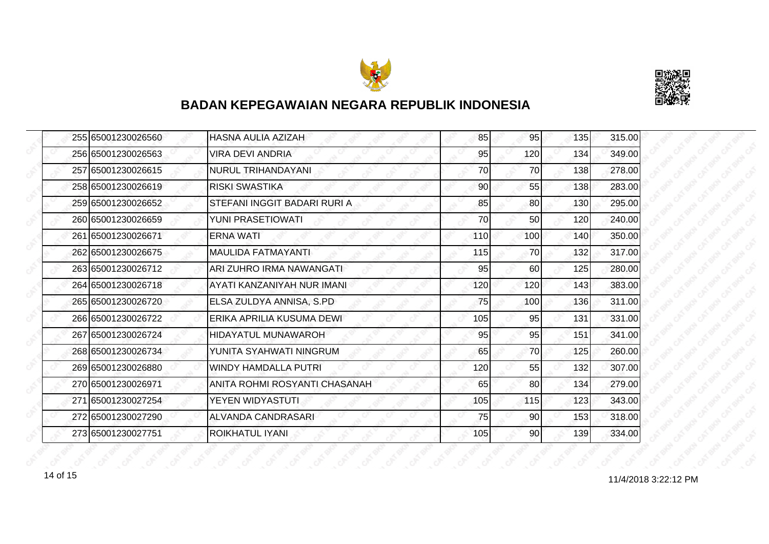



| 255165001230026560 | HASNA AULIA AZIZAH            | 85  | 95  | 135 | 315.00 |
|--------------------|-------------------------------|-----|-----|-----|--------|
| 256165001230026563 | VIRA DEVI ANDRIA              | 95  | 120 | 134 | 349.00 |
| 257 65001230026615 | <b>NURUL TRIHANDAYANI</b>     | 70  | 70  | 138 | 278.00 |
| 258 65001230026619 | RISKI SWASTIKA                | 90  | 55  | 138 | 283.00 |
| 259 65001230026652 | STEFANI INGGIT BADARI RURI A  | 85  | 80  | 130 | 295.00 |
| 260 65001230026659 | YUNI PRASETIOWATI             | 70  | 50  | 120 | 240.00 |
| 261 65001230026671 | <b>ERNA WATI</b>              | 110 | 100 | 140 | 350.00 |
| 262 65001230026675 | <b>MAULIDA FATMAYANTI</b>     | 115 | 70  | 132 | 317.00 |
| 263 65001230026712 | ARI ZUHRO IRMA NAWANGATI      | 95  | 60  | 125 | 280.00 |
| 264 65001230026718 | AYATI KANZANIYAH NUR IMANI    | 120 | 120 | 143 | 383.00 |
| 265 65001230026720 | ELSA ZULDYA ANNISA, S.PD      | 75  | 100 | 136 | 311.00 |
| 266 65001230026722 | ERIKA APRILIA KUSUMA DEWI     | 105 | 95  | 131 | 331.00 |
| 267 65001230026724 | <b>HIDAYATUL MUNAWAROH</b>    | 95  | 95  | 151 | 341.00 |
| 268 65001230026734 | YUNITA SYAHWATI NINGRUM       | 65  | 70  | 125 | 260.00 |
| 269 65001230026880 | <b>WINDY HAMDALLA PUTRI</b>   | 120 | 55  | 132 | 307.00 |
| 270165001230026971 | ANITA ROHMI ROSYANTI CHASANAH | 65  | 80  | 134 | 279.00 |
| 271165001230027254 | YEYEN WIDYASTUTI              | 105 | 115 | 123 | 343.00 |
| 272 65001230027290 | ALVANDA CANDRASARI            | 75  | 90  | 153 | 318.00 |
| 273 65001230027751 | ROIKHATUL IYANI               | 105 | 90  | 139 | 334.00 |

11/4/2018 3:22:12 PM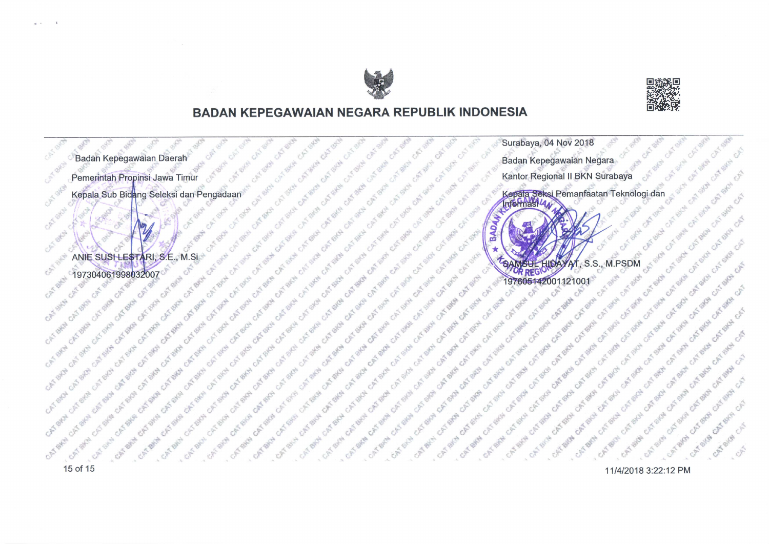